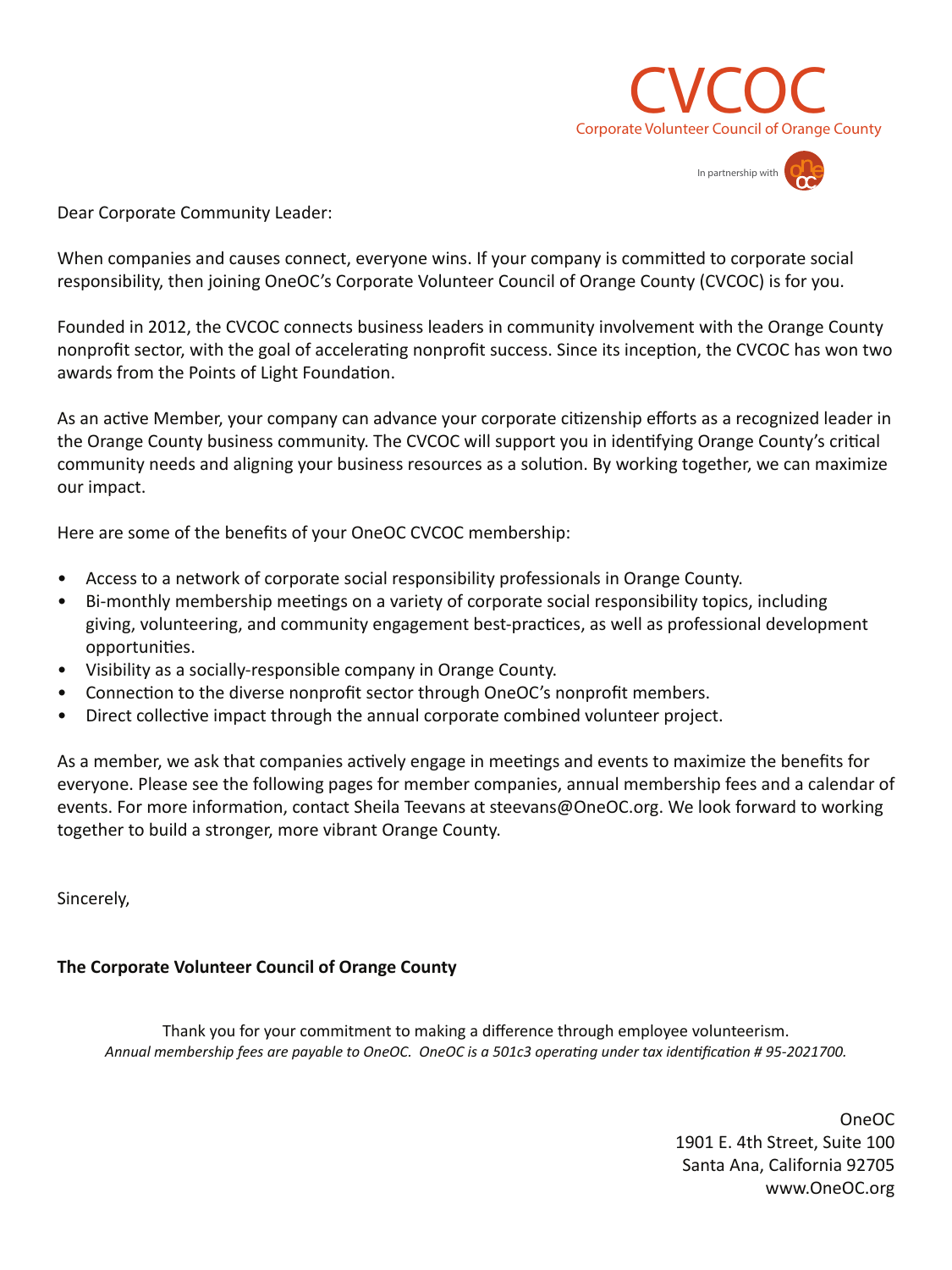



Dear Corporate Community Leader:

When companies and causes connect, everyone wins. If your company is committed to corporate social responsibility, then joining OneOC's Corporate Volunteer Council of Orange County (CVCOC) is for you.

Founded in 2012, the CVCOC connects business leaders in community involvement with the Orange County nonprofit sector, with the goal of accelerating nonprofit success. Since its inception, the CVCOC has won two awards from the Points of Light Foundation.

As an active Member, your company can advance your corporate citizenship efforts as a recognized leader in the Orange County business community. The CVCOC will support you in identifying Orange County's critical community needs and aligning your business resources as a solution. By working together, we can maximize our impact.

Here are some of the benefits of your OneOC CVCOC membership:

- Access to a network of corporate social responsibility professionals in Orange County.
- Bi-monthly membership meetings on a variety of corporate social responsibility topics, including giving, volunteering, and community engagement best-practices, as well as professional development opportunities.
- Visibility as a socially-responsible company in Orange County.
- Connection to the diverse nonprofit sector through OneOC's nonprofit members.
- Direct collective impact through the annual corporate combined volunteer project.

As a member, we ask that companies actively engage in meetings and events to maximize the benefits for everyone. Please see the following pages for member companies, annual membership fees and a calendar of events. For more information, contact Sheila Teevans at steevans@OneOC.org. We look forward to working together to build a stronger, more vibrant Orange County.

Sincerely,

### **The Corporate Volunteer Council of Orange County**

Thank you for your commitment to making a difference through employee volunteerism. *Annual membership fees are payable to OneOC. OneOC is a 501c3 operating under tax identification # 95-2021700.*

> OneOC 1901 E. 4th Street, Suite 100 Santa Ana, California 92705 www.OneOC.org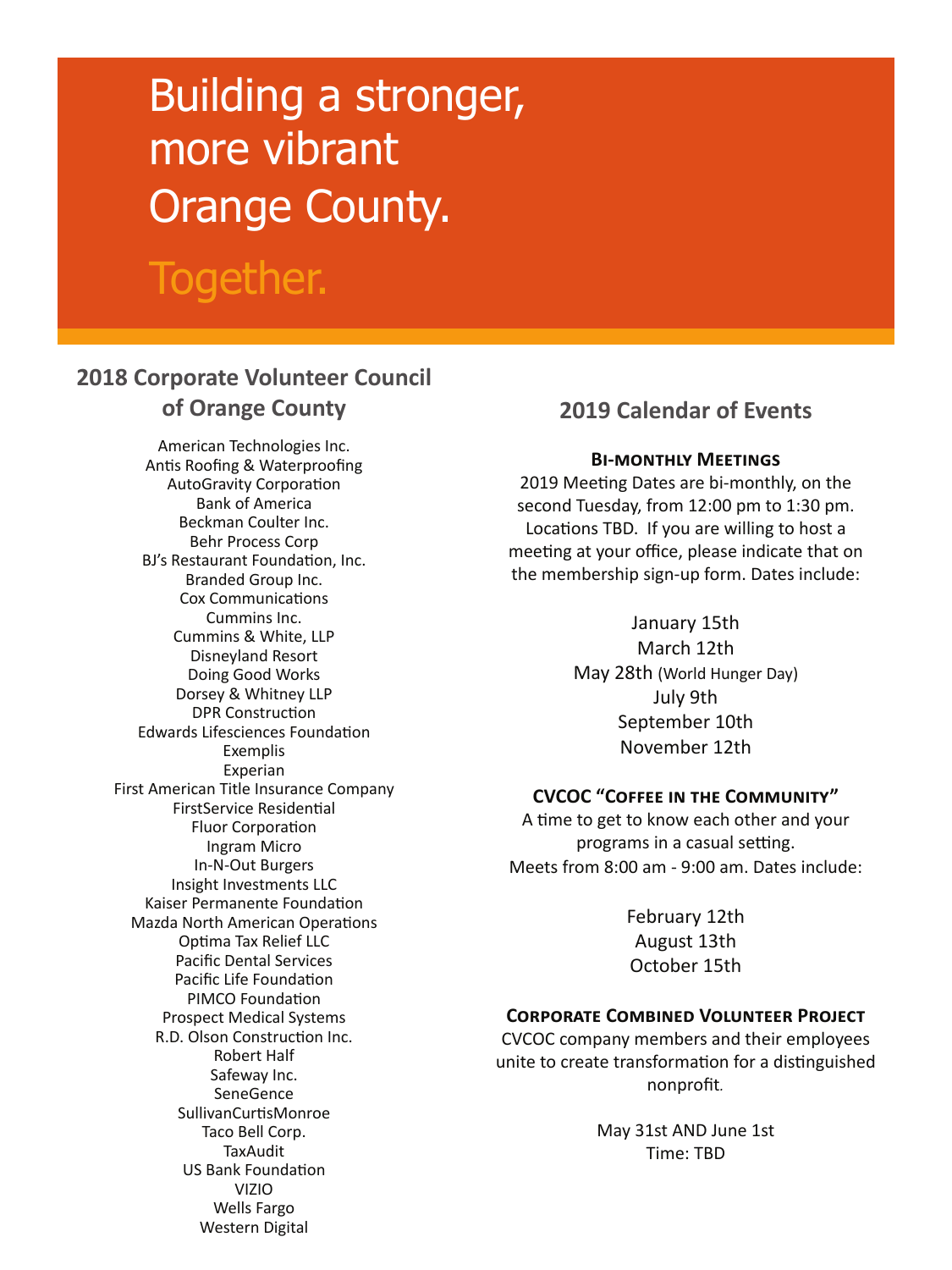# Building a stronger, more vibrant Orange County.

# Together.

# **2018 Corporate Volunteer Council of Orange County**

American Technologies Inc. Antis Roofing & Waterproofing AutoGravity Corporation Bank of America Beckman Coulter Inc. Behr Process Corp BJ's Restaurant Foundation, Inc. Branded Group Inc. Cox Communications Cummins Inc. Cummins & White, LLP Disneyland Resort Doing Good Works Dorsey & Whitney LLP DPR Construction Edwards Lifesciences Foundation Exemplis Experian First American Title Insurance Company FirstService Residential Fluor Corporation Ingram Micro In-N-Out Burgers Insight Investments LLC Kaiser Permanente Foundation Mazda North American Operations Optima Tax Relief LLC Pacific Dental Services Pacific Life Foundation PIMCO Foundation Prospect Medical Systems R.D. Olson Construction Inc. Robert Half Safeway Inc. SeneGence SullivanCurtisMonroe Taco Bell Corp. **TaxAudit** US Bank Foundation VIZIO Wells Fargo Western Digital

## **2019 Calendar of Events**

#### **Bi-monthly Meetings**

2019 Meeting Dates are bi-monthly, on the second Tuesday, from 12:00 pm to 1:30 pm. Locations TBD. If you are willing to host a meeting at your office, please indicate that on the membership sign-up form. Dates include:

> January 15th March 12th May 28th (World Hunger Day) July 9th September 10th November 12th

### **CVCOC "Coffee in the Community"**

A time to get to know each other and your programs in a casual setting. Meets from 8:00 am - 9:00 am. Dates include:

> February 12th August 13th October 15th

### **Corporate Combined Volunteer Project**

CVCOC company members and their employees unite to create transformation for a distinguished nonprofit*.* 

> May 31st AND June 1st Time: TBD